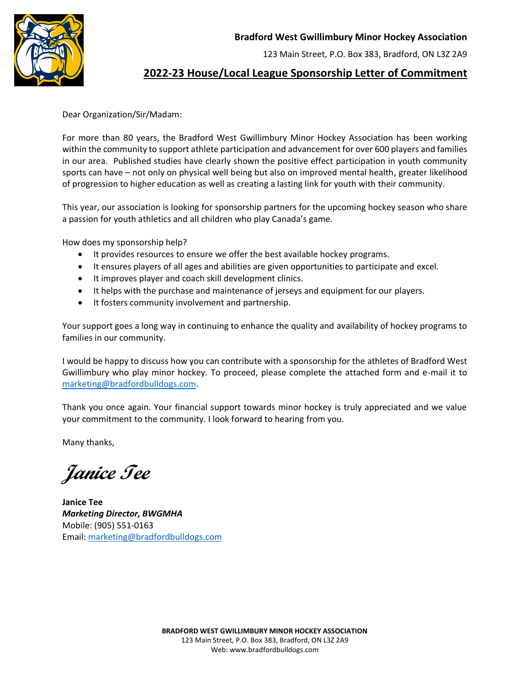**Bradford West Gwillimbury Minor Hockey Association** 

123 Main Street, P.O. Box 383, Bradford, ON L3Z 2A9



## **2022-23 House/Local League Sponsorship Letter of Commitment**

Dear Organization/Sir/Madam:

For more than 80 years, the Bradford West Gwillimbury Minor Hockey Association has been working within the community to support athlete participation and advancement for over 600 players and families in our area. Published studies have clearly shown the positive effect participation in youth community sports can have – not only on physical well being but also on improved mental health, greater likelihood of progression to higher education as well as creating a lasting link for youth with their community.

This year, our association is looking for sponsorship partners for the upcoming hockey season who share a passion for youth athletics and all children who play Canada's game.

How does my sponsorship help?

- It provides resources to ensure we offer the best available hockey programs.
- It ensures players of all ages and abilities are given opportunities to participate and excel.
- It improves player and coach skill development clinics.
- It helps with the purchase and maintenance of jerseys and equipment for our players.
- It fosters community involvement and partnership.

Your support goes a long way in continuing to enhance the quality and availability of hockey programs to families in our community.

I would be happy to discuss how you can contribute with a sponsorship for the athletes of Bradford West Gwillimbury who play minor hockey. To proceed, please complete the attached form and e-mail it to [marketing@bradfordbulldogs.com.](mailto:marketing@bradfordbulldogs.com)

Thank you once again. Your financial support towards minor hockey is truly appreciated and we value your commitment to the community. I look forward to hearing from you.

Many thanks,

**Janice Tee**

**Janice Tee** *Marketing Director, BWGMHA* Mobile: (905) 551-0163 Email: [marketing@bradfordbulldogs.com](mailto:marketing@bradfordbulldogs.com)